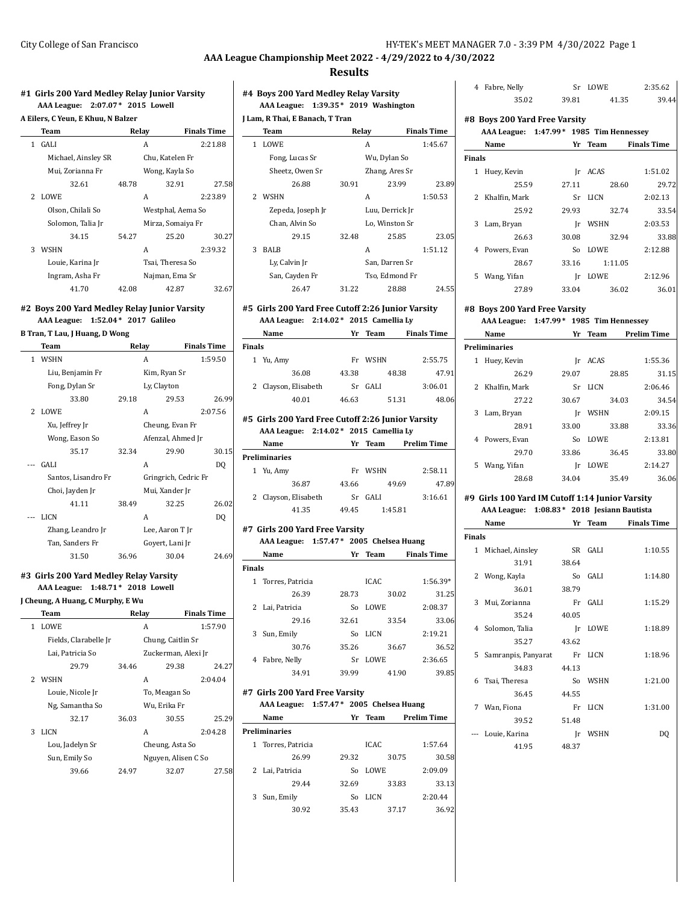#### **Results**

#### **#1 Girls 200 Yard Medley Relay Junior Varsity AAA League: 2:07.07\* 2015 Lowell**

|  |  |  |  |  |  |  | A Eilers, C Yeun, E Khuu, N Balzer |
|--|--|--|--|--|--|--|------------------------------------|
|--|--|--|--|--|--|--|------------------------------------|

|    | Team                | Relay |                   | <b>Finals Time</b> |
|----|---------------------|-------|-------------------|--------------------|
| 1  | <b>GALI</b>         |       | A                 | 2:21.88            |
|    | Michael, Ainsley SR |       | Chu. Katelen Fr   |                    |
|    | Mui, Zorianna Fr    |       | Wong, Kayla So    |                    |
|    | 32.61               | 48.78 | 32.91             | 27.58              |
| 2. | <b>LOWE</b>         |       | A                 | 2:23.89            |
|    | Olson, Chilali So   |       | Westphal, Aema So |                    |
|    | Solomon, Talia Jr   |       | Mirza, Somaiya Fr |                    |
|    | 34.15               | 54.27 | 25.20             | 30.27              |
| 3  | <b>WSHN</b>         |       | A                 | 2:39.32            |
|    | Louie, Karina Jr    |       | Tsai. Theresa So  |                    |
|    | Ingram, Asha Fr     |       | Najman, Ema Sr    |                    |
|    | 41.70               | 42.08 | 42.87             | 32.67              |

## **#2 Boys 200 Yard Medley Relay Junior Varsity AAA League: 1:52.04\* 2017 Galileo**

**B Tran, T Lau, J Huang, D Wong**

| Team           |                     | Relay |                      | <b>Finals Time</b> |
|----------------|---------------------|-------|----------------------|--------------------|
| $\mathbf{1}$   | <b>WSHN</b>         |       | A                    | 1:59.50            |
|                | Liu, Benjamin Fr    |       | Kim, Ryan Sr         |                    |
|                | Fong, Dylan Sr      |       | Ly, Clayton          |                    |
|                | 33.80               | 29.18 | 29.53                | 26.99              |
| $\overline{2}$ | LOWE                |       | Α                    | 2:07.56            |
|                | Xu, Jeffrey Jr      |       | Cheung, Evan Fr      |                    |
|                | Wong, Eason So      |       | Afenzal, Ahmed Jr    |                    |
|                | 35.17               | 32.34 | 29.90                | 30.15              |
|                | <b>GALI</b>         |       | A                    | D <sub>0</sub>     |
|                | Santos, Lisandro Fr |       | Gringrich, Cedric Fr |                    |
|                | Choi, Jayden Jr     |       | Mui, Xander Jr       |                    |
|                | 41.11               | 38.49 | 32.25                | 26.02              |
|                | LICN                |       | A                    | D <sub>0</sub>     |
|                | Zhang, Leandro Jr   |       | Lee, Aaron T Ir      |                    |
|                | Tan, Sanders Fr     |       | Goyert, Lani Jr      |                    |
|                | 31.50               | 36.96 | 30.04                | 24.69              |

#### **#3 Girls 200 Yard Medley Relay Varsity**

**AAA League: 1:48.71\* 2018 Lowell**

#### **J Cheung, A Huang, C Murphy, E Wu**

|   | Team                  |       | Relay               | <b>Finals Time</b> |
|---|-----------------------|-------|---------------------|--------------------|
|   | 1 LOWE                |       | A                   | 1:57.90            |
|   | Fields, Clarabelle Jr |       | Chung, Caitlin Sr   |                    |
|   | Lai, Patricia So      |       | Zuckerman, Alexi Jr |                    |
|   | 29.79                 | 34.46 | 29.38               | 24.27              |
| 2 | <b>WSHN</b>           |       | A                   | 2:04.04            |
|   | Louie, Nicole Jr      |       | To, Meagan So       |                    |
|   | Ng, Samantha So       |       | Wu, Erika Fr        |                    |
|   | 32.17                 | 36.03 | 30.55               | 25.29              |
| 3 | LICN                  |       | A                   | 2:04.28            |
|   | Lou, Jadelyn Sr       |       | Cheung, Asta So     |                    |
|   | Sun, Emily So         |       | Nguyen, Alisen C So |                    |
|   | 39.66                 | 24.97 | 32.07               | 27.58              |
|   |                       |       |                     |                    |

## **#4 Boys 200 Yard Medley Relay Varsity AAA League: 1:39.35\* 2019 Washington**

| J Lam, R Thai, E Banach, T Tran |                   |       |                 |                    |  |
|---------------------------------|-------------------|-------|-----------------|--------------------|--|
|                                 | Team              | Relay |                 | <b>Finals Time</b> |  |
| 1                               | LOWE              |       | А               | 1:45.67            |  |
|                                 | Fong, Lucas Sr    |       | Wu, Dylan So    |                    |  |
|                                 | Sheetz, Owen Sr   |       | Zhang, Ares Sr  |                    |  |
|                                 | 26.88             | 30.91 | 23.99           | 23.89              |  |
| 2                               | <b>WSHN</b>       |       | А               | 1:50.53            |  |
|                                 | Zepeda, Joseph Jr |       | Luu, Derrick Jr |                    |  |
|                                 | Chan, Alvin So    |       | Lo, Winston Sr  |                    |  |
|                                 | 29.15             | 32.48 | 25.85           | 23.05              |  |
| 3                               | BALB              |       | А               | 1:51.12            |  |
|                                 | Ly, Calvin Jr     |       | San, Darren Sr  |                    |  |
|                                 | San, Cayden Fr    |       | Tso, Edmond Fr  |                    |  |
|                                 | 26.47             | 31.22 | 28.88           | 24.55              |  |
|                                 |                   |       |                 |                    |  |

# **#5 Girls 200 Yard Free Cutoff 2:26 Junior Varsity**

**AAA League: 2:14.02\* 2015 Camellia Ly Name Yr Team Finals Time**

|        | маше                 | 11 L  | теанн       | гшать гипе |
|--------|----------------------|-------|-------------|------------|
| Finals |                      |       |             |            |
|        | 1 Yu, Amy            | Fr    | <b>WSHN</b> | 2:55.75    |
|        | 36.08                | 43.38 | 48.38       | 47.91      |
|        | 2 Clayson, Elisabeth | Sr    | GALI        | 3:06.01    |
|        | 40.01                | 46.63 | 51.31       | 48.06      |

#### **#5 Girls 200 Yard Free Cutoff 2:26 Junior Varsity AAA League: 2:14.02\* 2015 Camellia Ly**

| $A\Lambda A$ League. $\Delta A + \Delta B$ $\Delta B$ $\Delta C$ $\Delta D$ $\Delta A$ $\Delta C$ |                      |       |             |                    |
|---------------------------------------------------------------------------------------------------|----------------------|-------|-------------|--------------------|
|                                                                                                   | Name                 | Yr    | Team        | <b>Prelim Time</b> |
|                                                                                                   | <b>Preliminaries</b> |       |             |                    |
|                                                                                                   | 1 Yu, Amy            | Fr    | <b>WSHN</b> | 2:58.11            |
|                                                                                                   | 36.87                | 43.66 | 49.69       | 47.89              |
|                                                                                                   | 2 Clayson, Elisabeth | Sr    | <b>GALI</b> | 3:16.61            |
|                                                                                                   | 41.35                | 49.45 | 1:45.81     |                    |

#### **#7 Girls 200 Yard Free Varsity AAA League: 1:57.47\* 2005 Chelsea Huang**

|               | Name               | Yr    | Team        | <b>Finals Time</b> |
|---------------|--------------------|-------|-------------|--------------------|
| <b>Finals</b> |                    |       |             |                    |
|               | 1 Torres, Patricia |       | ICAC.       | $1:56.39*$         |
|               | 26.39              | 28.73 | 30.02       | 31.25              |
|               | 2 Lai, Patricia    | So    | <b>LOWE</b> | 2:08.37            |
|               | 29.16              | 32.61 | 33.54       | 33.06              |
| 3             | Sun, Emily         | So    | LICN        | 2:19.21            |
|               | 30.76              | 35.26 | 36.67       | 36.52              |
| 4             | Fabre, Nelly       | Sr    | <b>LOWE</b> | 2:36.65            |
|               | 34.91              | 39.99 | 41.90       | 39.85              |

# **#7 Girls 200 Yard Free Varsity**

**AAA League: 1:57.47\* 2005 Chelsea Huang Name Yr Team Prelim Time**

| <b>Preliminaries</b> |       |             |         |
|----------------------|-------|-------------|---------|
| 1 Torres, Patricia   |       | <b>ICAC</b> | 1:57.64 |
| 26.99                | 29.32 | 30.75       | 30.58   |
| 2 Lai, Patricia      | So    | <b>LOWE</b> | 2:09.09 |
| 29.44                | 32.69 | 33.83       | 33.13   |
| Sun, Emily           | So    | LICN        | 2:20.44 |
| 30.92                | 35.43 | 37.17       | 36.92   |

| 4            | Fabre, Nelly                            |       | Sr LOWE | 2:35.62            |
|--------------|-----------------------------------------|-------|---------|--------------------|
|              | 35.02                                   | 39.81 | 41.35   | 39.44              |
|              | #8 Boys 200 Yard Free Varsity           |       |         |                    |
|              | AAA League: 1:47.99* 1985 Tim Hennessey |       |         |                    |
|              | Name                                    |       | Yr Team | <b>Finals Time</b> |
| Finals       |                                         |       |         |                    |
| $\mathbf{1}$ | Huey, Kevin                             |       | Ir ACAS | 1:51.02            |
|              | 25.59                                   | 27.11 | 28.60   | 29.72              |
| $\mathbf{2}$ | Khalfin, Mark                           |       | Sr LICN | 2:02.13            |
|              | 25.92                                   | 29.93 | 32.74   | 33.54              |
| 3            | Lam, Bryan                              | Ir    | WSHN    | 2:03.53            |
|              | 26.63                                   | 30.08 | 32.94   | 33.88              |
|              | 4 Powers, Evan                          |       | So LOWE | 2:12.88            |
|              | 28.67                                   | 33.16 | 1:11.05 |                    |
|              | 5 Wang, Yifan                           |       | Ir LOWE | 2:12.96            |
|              | 27.89                                   | 33.04 | 36.02   | 36.01              |

# **AAA League: 1:47.99\* 1985 Tim Hennessey**

|    | Name            | Yr    | Team        | <b>Prelim Time</b> |  |  |
|----|-----------------|-------|-------------|--------------------|--|--|
|    | Preliminaries   |       |             |                    |  |  |
| 1  | Huey, Kevin     | Ir    | ACAS        | 1:55.36            |  |  |
|    | 26.29           | 29.07 | 28.85       | 31.15              |  |  |
|    | 2 Khalfin, Mark | Sr    | LICN        | 2:06.46            |  |  |
|    | 27.22           | 30.67 | 34.03       | 34.54              |  |  |
| 3  | Lam, Bryan      | Ir    | <b>WSHN</b> | 2:09.15            |  |  |
|    | 28.91           | 33.00 | 33.88       | 33.36              |  |  |
| 4  | Powers, Evan    | So    | <b>LOWE</b> | 2:13.81            |  |  |
|    | 29.70           | 33.86 | 36.45       | 33.80              |  |  |
| 5. | Wang, Yifan     | Ir    | LOWE        | 2:14.27            |  |  |
|    | 28.68           | 34.04 | 35.49       | 36.06              |  |  |

#### **#9 Girls 100 Yard IM Cutoff 1:14 Junior Varsity**

**AAA League: 1:08.83\* 2018 Jesiann Bautista**

|               | Name                | Yr    | <b>Team</b> | <b>Finals Time</b> |
|---------------|---------------------|-------|-------------|--------------------|
| <b>Finals</b> |                     |       |             |                    |
| 1             | Michael, Ainsley    | SR.   | <b>GALI</b> | 1:10.55            |
|               | 31.91               | 38.64 |             |                    |
|               | 2 Wong, Kayla       | So    | GALI        | 1:14.80            |
|               | 36.01               | 38.79 |             |                    |
| 3             | Mui, Zorianna       | Fr    | <b>GALI</b> | 1:15.29            |
|               | 35.24               | 40.05 |             |                    |
|               | 4 Solomon, Talia    | Ir    | <b>LOWE</b> | 1:18.89            |
|               | 35.27               | 43.62 |             |                    |
| 5             | Samranpis, Panyarat | Fr    | LICN        | 1:18.96            |
|               | 34.83               | 44.13 |             |                    |
| 6             | Tsai, Theresa       | So    | WSHN        | 1:21.00            |
|               | 36.45               | 44.55 |             |                    |
| 7             | Wan, Fiona          | Fr    | <b>LICN</b> | 1:31.00            |
|               | 39.52               | 51.48 |             |                    |
|               | Louie, Karina       | Ir    | <b>WSHN</b> | DO                 |
|               | 41.95               | 48.37 |             |                    |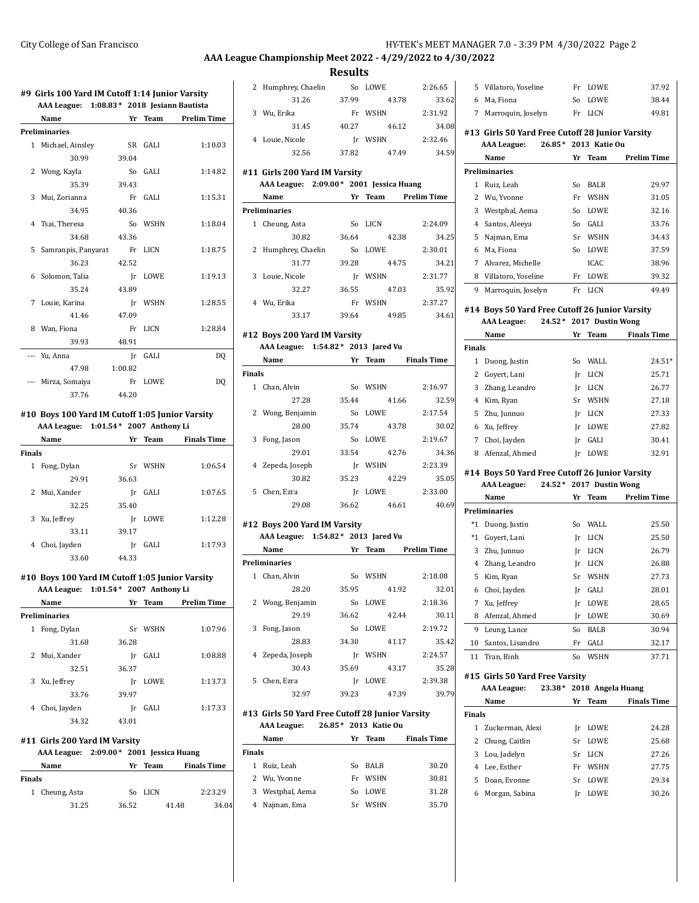## City College of San Francisco HY-TEK's MEET MANAGER 7.0 - 3:39 PM 4/30/2022 Page 2

# **AAA League Championship Meet 2022 - 4/29/2022 to 4/30/2022**

2 Humphrey, Chaelin So LOWE 2:26.65

31.26 37.99 43.78 33.62

**Results**

#### **#9 Girls 100 Yard IM Cutoff 1:14 Junior Varsity AAA League: 1:08.83\* 2018 Jesiann Bautista**

|              | AAA League: 1:08.83 * 2018 Jesiann Bautista |           |             |                    |
|--------------|---------------------------------------------|-----------|-------------|--------------------|
|              | Name                                        | Yr        | Team        | <b>Prelim Time</b> |
|              | <b>Preliminaries</b>                        |           |             |                    |
| $\mathbf{1}$ | Michael, Ainsley                            | <b>SR</b> | <b>GALI</b> | 1:10.03            |
|              | 30.99                                       | 39.04     |             |                    |
|              | 2 Wong, Kayla                               | So        | GALI        | 1:14.82            |
|              | 35.39                                       | 39.43     |             |                    |
| 3            | Mui, Zorianna                               | Fr        | <b>GALI</b> | 1:15.31            |
|              | 34.95                                       | 40.36     |             |                    |
|              | 4 Tsai, Theresa                             | So        | <b>WSHN</b> | 1:18.04            |
|              | 34.68                                       | 43.36     |             |                    |
| 5            | Samranpis, Panyarat                         | Fr        | LICN        | 1:18.75            |
|              | 36.23                                       | 42.52     |             |                    |
|              | 6 Solomon, Talia                            | Ir        | LOWE        | 1:19.13            |
|              | 35.24                                       | 43.89     |             |                    |
| $7^{\circ}$  | Louie, Karina                               | Ir        | <b>WSHN</b> | 1:28.55            |
|              | 41.46                                       | 47.09     |             |                    |
|              | 8 Wan, Fiona                                | Fr        | LICN        | 1:28.84            |
|              | 39.93                                       | 48.91     |             |                    |
| $---$        | Yu, Anna                                    | Ir        | GALI        | DQ                 |
|              | 47.98                                       | 1:00.82   |             |                    |
|              | Mirza, Somaiya                              | Fr        | LOWE        | D <sub>O</sub>     |
|              | 37.76                                       | 44.20     |             |                    |

#### **#10 Boys 100 Yard IM Cutoff 1:05 Junior Varsity AAA League: 1:01.54\* 2007 Anthony Li**

|        | Name          | Yr    | Team        | <b>Finals Time</b> |  |  |
|--------|---------------|-------|-------------|--------------------|--|--|
| Finals |               |       |             |                    |  |  |
| 1      | Fong, Dylan   | Sr    | <b>WSHN</b> | 1:06.54            |  |  |
|        | 29.91         | 36.63 |             |                    |  |  |
|        | 2 Mui, Xander | Ir    | GALI        | 1:07.65            |  |  |
|        | 32.25         | 35.40 |             |                    |  |  |
| 3      | Xu, Jeffrey   | Ir    | LOWE        | 1:12.28            |  |  |
|        | 33.11         | 39.17 |             |                    |  |  |
| 4      | Choi, Jayden  | Ir    | GALI        | 1:17.93            |  |  |
|        | 33.60         | 44.33 |             |                    |  |  |

#### **#10 Boys 100 Yard IM Cutoff 1:05 Junior Varsity**

|   | AAA League: 1:01.54 * 2007 Anthony Li |       |         |                    |
|---|---------------------------------------|-------|---------|--------------------|
|   | <b>Name</b>                           |       | Yr Team | <b>Prelim Time</b> |
|   | <b>Preliminaries</b>                  |       |         |                    |
| 1 | Fong, Dylan                           | Sr    | WSHN    | 1:07.96            |
|   | 31.68                                 | 36.28 |         |                    |
|   | 2 Mui, Xander                         | Ir    | GALI    | 1:08.88            |
|   | 32.51                                 | 36.37 |         |                    |
| 3 | Xu, Jeffrey                           | Ir    | LOWE    | 1:13.73            |
|   | 33.76                                 | 39.97 |         |                    |
| 4 | Choi, Jayden                          | Ir    | GALI    | 1:17.33            |
|   | 34.32                                 | 43.01 |         |                    |
|   |                                       |       |         |                    |

#### **#11 Girls 200 Yard IM Varsity**

|               |                | AAA League: 2:09.00 * 2001 Jessica Huang |         |       |                    |
|---------------|----------------|------------------------------------------|---------|-------|--------------------|
|               | Name           |                                          | Yr Team |       | <b>Finals Time</b> |
| <b>Finals</b> |                |                                          |         |       |                    |
|               | 1 Cheung, Asta |                                          | So LICN |       | 2:23.29            |
|               | 31.25          | 36.52                                    |         | 41.48 | 34.04              |

|        | 3 Wu, Erika                                                              |                      | Fr WSHN          | 2:31.92                       |
|--------|--------------------------------------------------------------------------|----------------------|------------------|-------------------------------|
|        | 31.45                                                                    | 40.27                | 46.12            | 34.08                         |
|        | 4 Louie, Nicole                                                          |                      | Jr WSHN          | 2:32.46                       |
|        | 32.56                                                                    | 37.82                | 47.49            | 34.59                         |
|        |                                                                          |                      |                  |                               |
|        | #11 Girls 200 Yard IM Varsity<br>AAA League: 2:09.00* 2001 Jessica Huang |                      |                  |                               |
|        | Name                                                                     |                      |                  | Yr Team Prelim Time           |
|        | Preliminaries                                                            |                      |                  |                               |
|        | 1 Cheung, Asta                                                           |                      | So LICN          | 2:24.09                       |
|        | 30.82                                                                    | 36.64                | 42.38            | 34.25                         |
|        | 2 Humphrey, Chaelin                                                      |                      | So LOWE          | 2:30.01                       |
|        | 31.77                                                                    | 39.28                | 44.75            | 34.21                         |
|        | 3 Louie, Nicole                                                          |                      | Jr WSHN          | 2:31.77                       |
|        | 32.27                                                                    | 36.55                | 47.03            | 35.92                         |
|        | 4 Wu, Erika                                                              |                      | Fr WSHN          | 2:37.27                       |
|        | 33.17                                                                    | 39.64                | 49.85            | 34.61                         |
|        |                                                                          |                      |                  |                               |
|        | #12 Boys 200 Yard IM Varsity                                             |                      |                  |                               |
|        | AAA League: 1:54.82 * 2013 Jared Vu                                      |                      |                  |                               |
|        | Name                                                                     |                      |                  | Yr Team Finals Time           |
| Finals | 1 Chan, Alvin                                                            |                      | So WSHN          |                               |
|        | 27.28                                                                    | 35.44                | 41.66            | 2:16.97<br>32.59              |
|        | 2 Wong, Benjamin                                                         |                      | So LOWE          | 2:17.54                       |
|        | 28.00                                                                    | 35.74                | 43.78            | 30.02                         |
|        | 3 Fong, Jason                                                            |                      | So LOWE          | 2:19.67                       |
|        | 29.01                                                                    | 33.54                | 42.76            | 34.36                         |
|        | 4 Zepeda, Joseph                                                         |                      | Jr WSHN          | 2:23.39                       |
|        | 30.82                                                                    | 35.23                | 42.29            | 35.05                         |
|        | 5 Chen, Ezra                                                             |                      | Jr LOWE          | 2:33.00                       |
|        | 29.08                                                                    | 36.62                | 46.61            | 40.69                         |
|        |                                                                          |                      |                  |                               |
|        | #12 Boys 200 Yard IM Varsity                                             |                      |                  |                               |
|        | AAA League: 1:54.82 * 2013 Jared Vu                                      |                      |                  |                               |
|        | Name                                                                     |                      |                  | <b>Example 12 Prelim Time</b> |
|        | <b>Preliminaries</b>                                                     |                      |                  |                               |
|        | 1 Chan, Alvin                                                            |                      | So WSHN          | 2:18.08                       |
|        | 28.20                                                                    | 35.95                | 41.92<br>So LOWE | 32.01<br>2:18.36              |
|        | 2 Wong, Benjamin                                                         |                      |                  |                               |
|        | 29.19                                                                    |                      |                  | 36.62 42.44 30.11             |
| 3      | Fong, Jason<br>28.83                                                     | So<br>34.30          | LOWE<br>41.17    | 2:19.72<br>35.42              |
| 4      |                                                                          |                      | WSHN             |                               |
|        | Zepeda, Joseph<br>30.43                                                  | Jr<br>35.69          | 43.17            | 2:24.57<br>35.28              |
| 5      | Chen, Ezra                                                               | Jr                   | LOWE             | 2:39.38                       |
|        | 32.97                                                                    | 39.23                | 47.39            | 39.79                         |
|        |                                                                          |                      |                  |                               |
|        | #13 Girls 50 Yard Free Cutoff 28 Junior Varsity                          |                      |                  |                               |
|        | <b>AAA League:</b>                                                       | 26.85* 2013 Katie Ou |                  |                               |
|        | Name                                                                     | Yr                   | Team             | <b>Finals Time</b>            |

| <b>Finals</b> |                  |    |             |       |
|---------------|------------------|----|-------------|-------|
|               | 1 Ruiz, Leah     | So | BALB        | 30.20 |
|               | 2 Wu, Yvonne     | Fr | <b>WSHN</b> | 30.81 |
|               | 3 Westphal, Aema | So | LOWE        | 31.28 |
|               | 4 Najman, Ema    | Sr | <b>WSHN</b> | 35.70 |

| 6 | Ma, Fiona                                        | So | LOWE          | 38.44              |
|---|--------------------------------------------------|----|---------------|--------------------|
| 7 | Marroquin, Joselyn                               | Fr | LICN          | 49.81              |
|   | #13  Girls 50 Yard Free Cutoff 28 Junior Varsity |    |               |                    |
|   | $26.85*$<br>AAA League:                          |    | 2013 Katie Ou |                    |
|   | Name                                             | Yr | Team          | <b>Prelim Time</b> |
|   | <b>Preliminaries</b>                             |    |               |                    |
| 1 | Ruiz, Leah                                       | So | BALB          | 29.97              |
| 2 | Wu, Yvonne                                       | Fr | <b>WSHN</b>   | 31.05              |
| 3 | Westphal, Aema                                   | So | LOWE.         | 32.16              |
| 4 | Santos, Aleeya                                   | So | GALI          | 33.76              |
| 5 | Najman, Ema                                      | Sr | <b>WSHN</b>   | 34.43              |
| 6 | Ma, Fiona                                        | So | <b>LOWE</b>   | 37.59              |
| 7 | Alvarez, Michelle                                |    | ICAC          | 38.96              |
| 8 | Villatoro, Yoseline                              | Fr | <b>LOWE</b>   | 39.32              |
| 9 | Marroquin, Joselyn                               | Fr | LICN          | 49.49              |

5 Villatoro, Yoseline Fr LOWE 37.92

# **#14 Boys 50 Yard Free Cutoff 26 Junior Varsity**

# **AAA League: 24.52\* 2017 Dustin Wong**

|        | Name             | Yr | Team        | <b>Finals Time</b> |
|--------|------------------|----|-------------|--------------------|
| Finals |                  |    |             |                    |
| 1      | Duong, Justin    | So | WALL        | $24.51*$           |
|        | 2 Govert, Lani   | Ir | LICN        | 25.71              |
|        | 3 Zhang, Leandro | Ir | LICN        | 26.77              |
| 4      | Kim, Ryan        | Sr | <b>WSHN</b> | 27.18              |
|        | 5 Zhu, Junnuo    | Ir | LICN        | 27.33              |
|        | 6 Xu, Jeffrey    | Ir | LOWE        | 27.82              |
| 7      | Choi, Jayden     | Ir | GALI        | 30.41              |
| 8      | Afenzal, Ahmed   | Ir | LOWE        | 32.91              |

#### **#14 Boys 50 Yard Free Cutoff 26 Junior Varsity AAA League: 24.52\* 2017 Dustin Wong**

|                      | Name             | Yr | Team        | <b>Prelim Time</b> |
|----------------------|------------------|----|-------------|--------------------|
| <b>Preliminaries</b> |                  |    |             |                    |
| *1                   | Duong, Justin    | So | WALL        | 25.50              |
| *1                   | Govert, Lani     | Ir | LICN        | 25.50              |
|                      | 3 Zhu, Junnuo    | Ir | LICN        | 26.79              |
| 4                    | Zhang, Leandro   | Ir | LICN        | 26.88              |
| 5                    | Kim, Ryan        | Sr | <b>WSHN</b> | 27.73              |
| 6                    | Choi, Jayden     | Ir | GALI        | 28.01              |
| 7                    | Xu, Jeffrey      | Ir | LOWE        | 28.65              |
| 8                    | Afenzal, Ahmed   | Ir | LOWE        | 30.69              |
| 9                    | Leung, Lance     | So | BALB        | 30.94              |
| 10                   | Santos, Lisandro | Fr | GALI        | 32.17              |
| 11                   | Tran, Binh       | So | <b>WSHN</b> | 37.71              |

#### **#15 Girls 50 Yard Free Varsity**

#### **AAA League: 23.38\* 2018 Angela Huang**

|               | Name               | Yг | Team        | <b>Finals Time</b> |
|---------------|--------------------|----|-------------|--------------------|
| <b>Finals</b> |                    |    |             |                    |
|               | 1 Zuckerman, Alexi | Ir | LOWE        | 24.28              |
| 2.            | Chung, Caitlin     | Sr | LOWE        | 25.68              |
| 3             | Lou, Jadelyn       | Sr | LICN        | 27.26              |
|               | 4 Lee. Esther      | Fr | <b>WSHN</b> | 27.75              |
| 5.            | Doan, Evonne       | Sr | <b>LOWE</b> | 29.34              |
| 6             | Morgan, Sabina     | Ir | LOWE        | 30.26              |
|               |                    |    |             |                    |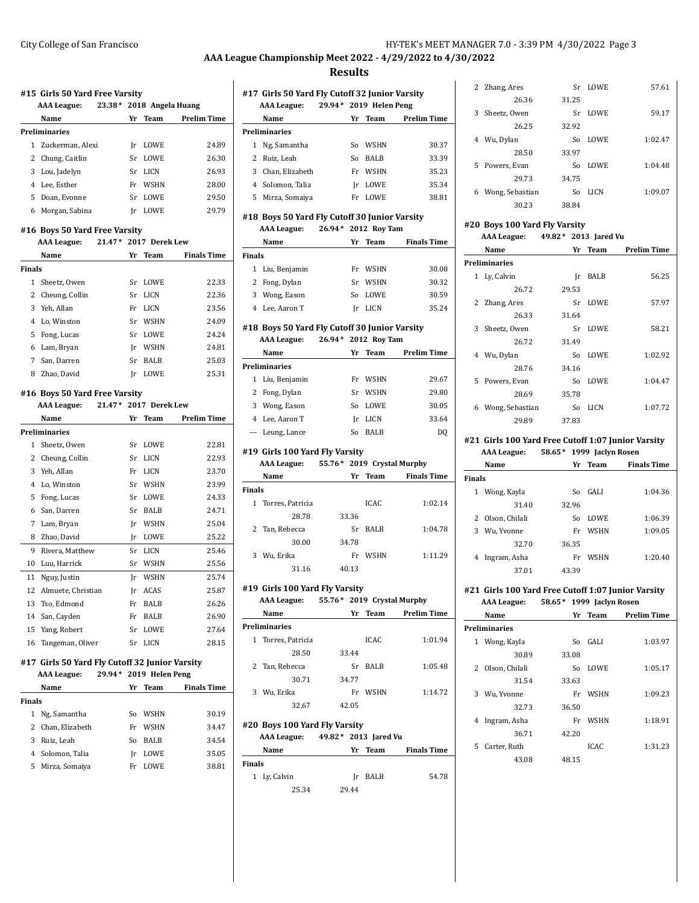#### City College of San Francisco HY-TEK's MEET MANAGER 7.0 - 3:39 PM 4/30/2022 Page 3

#### **AAA League Championship Meet 2022 - 4/29/2022 to 4/30/2022**

#### **Results**

## **#15 Girls 50 Yard Free Varsity AAA League: 23.38\* 2018 Angela Huang Name Yr Team Prelim Time Preliminaries**

|   | reuminaries        |    |             |       |
|---|--------------------|----|-------------|-------|
|   | 1 Zuckerman, Alexi | Ir | LOWE        | 24.89 |
|   | 2 Chung, Caitlin   |    | Sr LOWE     | 26.30 |
| 3 | Lou, Jadelyn       | Sr | LICN        | 26.93 |
| 4 | Lee. Esther        |    | Fr WSHN     | 28.00 |
| 5 | Doan, Evonne       | Sr | <b>LOWE</b> | 29.50 |
| 6 | Morgan, Sabina     | Ir | LOWE        | 29.79 |

#### **#16 Boys 50 Yard Free Varsity**

|        | <b>AAA</b> League: |    | 21.47* 2017 Derek Lew |                    |
|--------|--------------------|----|-----------------------|--------------------|
|        | Name               |    | Yr Team               | <b>Finals Time</b> |
| Finals |                    |    |                       |                    |
| 1      | Sheetz, Owen       | Sr | <b>LOWE</b>           | 22.33              |
|        | 2 Cheung, Collin   | Sr | <b>LICN</b>           | 22.36              |
| 3      | Yeh, Allan         | Fr | <b>LICN</b>           | 23.56              |
|        | 4 Lo. Winston      | Sr | <b>WSHN</b>           | 24.09              |
| 5      | Fong, Lucas        | Sr | <b>LOWE</b>           | 24.24              |
|        | 6 Lam, Bryan       | Ir | <b>WSHN</b>           | 24.81              |
| 7      | San, Darren        | Sr | <b>BALB</b>           | 25.03              |
| 8      | Zhao. David        | Ir | LOWE                  | 25.31              |

#### **#16 Boys 50 Yard Free Varsity**

**AAA League: 21.47\* 2017 Derek Lew**

|    | Name               | Yr | Team        | <b>Prelim Time</b> |
|----|--------------------|----|-------------|--------------------|
|    | Preliminaries      |    |             |                    |
| 1  | Sheetz, Owen       | Sr | LOWE        | 22.81              |
| 2  | Cheung, Collin     | Sr | <b>LICN</b> | 22.93              |
| 3  | Yeh, Allan         | Fr | <b>LICN</b> | 23.70              |
| 4  | Lo, Winston        | Sr | <b>WSHN</b> | 23.99              |
| 5  | Fong, Lucas        | Sr | LOWE        | 24.33              |
| 6  | San, Darren        | Sr | <b>BALB</b> | 24.71              |
| 7  | Lam, Bryan         | Ir | <b>WSHN</b> | 25.04              |
| 8  | Zhao, David        | Jr | LOWE        | 25.22              |
| 9  | Rivera, Matthew    | Sr | LICN        | 25.46              |
| 10 | Luu, Harrick       | Sr | <b>WSHN</b> | 25.56              |
| 11 | Nguy, Justin       | Ir | WSHN        | 25.74              |
| 12 | Almuete, Christian | Ir | <b>ACAS</b> | 25.87              |
| 13 | Tso, Edmond        | Fr | <b>BALB</b> | 26.26              |
| 14 | San, Cayden        | Fr | <b>BALB</b> | 26.90              |
| 15 | Yang, Robert       | Sr | LOWE        | 27.64              |
| 16 | Tangeman, Oliver   | Sr | LICN        | 28.15              |

#### **#17 Girls 50 Yard Fly Cutoff 32 Junior Varsity AAA League: 29.94\* 2019 Helen Peng**

|               | Name              | Yr | Team        | <b>Finals Time</b> |
|---------------|-------------------|----|-------------|--------------------|
| <b>Finals</b> |                   |    |             |                    |
| 1             | Ng, Samantha      | So | <b>WSHN</b> | 30.19              |
|               | 2 Chan, Elizabeth | Fr | <b>WSHN</b> | 34.47              |
| 3             | Ruiz, Leah        | So | BALB        | 34.54              |
|               | 4 Solomon, Talia  | Ir | LOWE        | 35.05              |
| 5             | Mirza, Somaiya    | Fr | LOWE.       | 38.81              |
|               |                   |    |             |                    |

#### **#17 Girls 50 Yard Fly Cutoff 32 Junior Varsity AAA League: 29.94\* 2019 Helen Peng**

|                      | Name              | Yr | Team        | <b>Prelim Time</b> |  |
|----------------------|-------------------|----|-------------|--------------------|--|
| <b>Preliminaries</b> |                   |    |             |                    |  |
| 1.                   | Ng, Samantha      | So | <b>WSHN</b> | 30.37              |  |
| 2                    | Ruiz. Leah        | So | BALB        | 33.39              |  |
|                      | 3 Chan, Elizabeth | Fr | <b>WSHN</b> | 35.23              |  |
|                      | 4 Solomon, Talia  | Ir | LOWE        | 35.34              |  |
|                      | 5 Mirza, Somaiya  | Fr | <b>LOWE</b> | 38.81              |  |

#### **#18 Boys 50 Yard Fly Cutoff 30 Junior Varsity**

**AAA League: 26.94\* 2012 Roy Tam**

|               | Name          | Yг | <b>Team</b> | <b>Finals Time</b> |
|---------------|---------------|----|-------------|--------------------|
| <b>Finals</b> |               |    |             |                    |
| 1             | Liu, Benjamin | Fr | <b>WSHN</b> | 30.08              |
| 2             | Fong, Dylan   | Sr | <b>WSHN</b> | 30.32              |
| 3             | Wong, Eason   | Sο | LOWE.       | 30.59              |
| 4             | Lee, Aaron T  |    | LICN        | 35.24              |

## **#18 Boys 50 Yard Fly Cutoff 30 Junior Varsity**

| 26.94* 2012 Roy Tam<br>AAA League: |  |
|------------------------------------|--|
|------------------------------------|--|

| Name                 | Yr | Team        | <b>Prelim Time</b> |
|----------------------|----|-------------|--------------------|
| <b>Preliminaries</b> |    |             |                    |
| 1 Liu, Benjamin      | Fr | <b>WSHN</b> | 29.67              |
| 2 Fong, Dylan        | Sr | <b>WSHN</b> | 29.80              |
| 3 Wong, Eason        | So | <b>LOWE</b> | 30.05              |
| 4 Lee, Aaron T       | Ir | LICN        | 33.64              |
| --- Leung, Lance     | Sο | BALB        | DO                 |

### **#19 Girls 100 Yard Fly Varsity**

**AAA League: 55.76\* 2019 Crystal Murphy**

|               | Name               |       | Yr Team     | <b>Finals Time</b> |
|---------------|--------------------|-------|-------------|--------------------|
| <b>Finals</b> |                    |       |             |                    |
|               | 1 Torres, Patricia |       | <b>ICAC</b> | 1:02.14            |
|               | 28.78              | 33.36 |             |                    |
|               | 2 Tan, Rebecca     | Sr    | BALB        | 1:04.78            |
|               | 30.00              | 34.78 |             |                    |
| 3             | Wu, Erika          | Fr    | <b>WSHN</b> | 1:11.29            |
|               | 31.16              | 40.13 |             |                    |

#### **#19 Girls 100 Yard Fly Varsity AAA League: 55.76\* 2019 Crystal Murphy**

| Name      | Yr                                                           |             | <b>Prelim Time</b> |
|-----------|--------------------------------------------------------------|-------------|--------------------|
|           |                                                              |             |                    |
|           |                                                              | ICAC.       | 1.01.94            |
| 28.50     | 33.44                                                        |             |                    |
|           | Sr                                                           | BALB        | 1:05.48            |
| 30.71     | 34.77                                                        |             |                    |
| Wu, Erika | Fr                                                           | <b>WSHN</b> | 1:14.72            |
| 32.67     | 42.05                                                        |             |                    |
|           | <b>Preliminaries</b><br>1 Torres, Patricia<br>2 Tan, Rebecca |             | Team               |

#### **#20 Boys 100 Yard Fly Varsity**

| <b>AAA League:</b>          | 49.82 * 2013 Jared Vu           |                  |
|-----------------------------|---------------------------------|------------------|
| $\mathbf{M}$ = $\mathbf{M}$ | $V_{\text{max}}$ T <sub>a</sub> | The class Theory |

| <b>Name</b>   | Yr.   | Team | <b>Finals Time</b> |
|---------------|-------|------|--------------------|
| <b>Finals</b> |       |      |                    |
| 1 Ly, Calvin  | Ir    | BALB | 54.78              |
| 25.34         | 29.44 |      |                    |

|   | 2 Zhang, Ares   |       | Sr LOWE     | 57.61   |
|---|-----------------|-------|-------------|---------|
|   | 26.36           | 31.25 |             |         |
| 3 | Sheetz. Owen    | Sr    | <b>LOWE</b> | 59.17   |
|   | 26.25           | 32.92 |             |         |
| 4 | Wu, Dylan       | So    | <b>LOWE</b> | 1:02.47 |
|   | 28.50           | 33.97 |             |         |
| 5 | Powers, Evan    | So    | <b>LOWE</b> | 1:04.48 |
|   | 29.73           | 34.75 |             |         |
| 6 | Wong, Sebastian | So    | LICN        | 1:09.07 |
|   | 30.23           | 38.84 |             |         |

#### **#20 Boys 100 Yard Fly Varsity**

| AAA League: |  | 49.82 * 2013 Jared Vu |
|-------------|--|-----------------------|
|             |  |                       |

|    | Name                 |       | Yr Team     | <b>Prelim Time</b> |
|----|----------------------|-------|-------------|--------------------|
|    | <b>Preliminaries</b> |       |             |                    |
| 1  | Ly, Calvin           | Ir    | BALB        | 56.25              |
|    | 26.72                | 29.53 |             |                    |
| 2  | Zhang, Ares          | Sr    | LOWE        | 57.97              |
|    | 26.33                | 31.64 |             |                    |
| 3  | Sheetz, Owen         |       | Sr LOWE     | 58.21              |
|    | 26.72                | 31.49 |             |                    |
| 4  | Wu, Dylan            | So    | <b>LOWE</b> | 1:02.92            |
|    | 28.76                | 34.16 |             |                    |
| 5. | Powers, Evan         | So    | LOWE        | 1:04.47            |
|    | 28.69                | 35.78 |             |                    |
| 6  | Wong, Sebastian      | So    | <b>LICN</b> | 1:07.72            |
|    | 29.89                | 37.83 |             |                    |

#### **#21 Girls 100 Yard Free Cutoff 1:07 Junior Varsity AAA League: 58.65\* 1999 Jaclyn Rosen**

|               | Name             | Yr    | Team        | <b>Finals Time</b> |
|---------------|------------------|-------|-------------|--------------------|
| <b>Finals</b> |                  |       |             |                    |
| 1             | Wong, Kayla      | So    | <b>GALI</b> | 1:04.36            |
|               | 31.40            | 32.96 |             |                    |
|               | 2 Olson, Chilali | So    | LOWE        | 1:06.39            |
| 3             | Wu, Yvonne       | Fr    | <b>WSHN</b> | 1:09.05            |
|               | 32.70            | 36.35 |             |                    |
| 4             | Ingram, Asha     | Fr    | <b>WSHN</b> | 1:20.40            |
|               | 37.01            | 43.39 |             |                    |

#### **#21 Girls 100 Yard Free Cutoff 1:07 Junior Varsity AAA League: 58.65\* 1999 Jaclyn Rosen**

|              | Name             | Yr    | <b>Team</b> | <b>Prelim Time</b> |  |  |  |
|--------------|------------------|-------|-------------|--------------------|--|--|--|
|              | Preliminaries    |       |             |                    |  |  |  |
| $\mathbf{1}$ | Wong, Kayla      | So    | <b>GALI</b> | 1:03.97            |  |  |  |
|              | 30.89            | 33.08 |             |                    |  |  |  |
|              | 2 Olson, Chilali | So    | <b>LOWE</b> | 1:05.17            |  |  |  |
|              | 31.54            | 33.63 |             |                    |  |  |  |
| 3            | Wu, Yvonne       | Fr    | <b>WSHN</b> | 1:09.23            |  |  |  |
|              | 32.73            | 36.50 |             |                    |  |  |  |
| 4            | Ingram, Asha     | Fr    | <b>WSHN</b> | 1:18.91            |  |  |  |
|              | 36.71            | 42.20 |             |                    |  |  |  |
|              | 5 Carter, Ruth   |       | ICAC        | 1:31.23            |  |  |  |
|              | 43.08            | 48.15 |             |                    |  |  |  |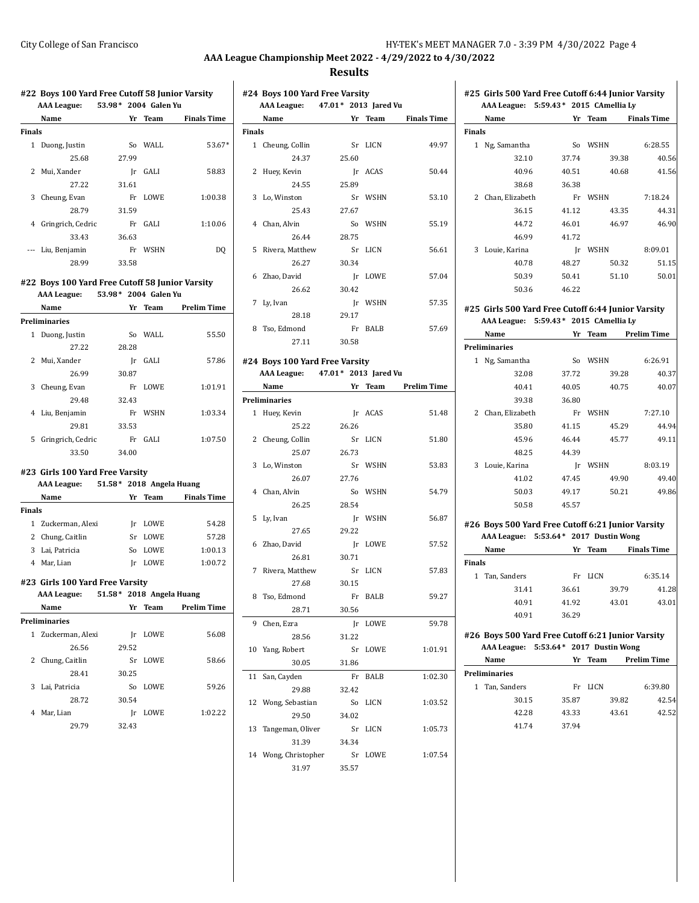# **Results**

|               | #22 Boys 100 Yard Free Cutoff 58 Junior Varsity |                            |         |                     |
|---------------|-------------------------------------------------|----------------------------|---------|---------------------|
|               | <b>AAA League:</b><br>Name                      | 53.98* 2004 Galen Yu<br>Yr | Team    | <b>Finals Time</b>  |
| <b>Finals</b> |                                                 |                            |         |                     |
|               |                                                 |                            |         |                     |
| $\mathbf{1}$  | Duong, Justin                                   | So                         | WALL    | 53.67*              |
|               | 25.68                                           | 27.99                      |         |                     |
|               | 2 Mui, Xander                                   | $\mathbf{r}$               | GALI    | 58.83               |
|               | 27.22                                           | 31.61                      |         |                     |
|               | 3 Cheung, Evan                                  |                            | Fr LOWE | 1:00.38             |
|               | 28.79                                           | 31.59                      |         |                     |
|               | 4 Gringrich, Cedric                             |                            | Fr GALI | 1:10.06             |
|               | 33.43                                           | 36.63                      |         |                     |
|               | --- Liu, Benjamin                               |                            | Fr WSHN | DQ                  |
|               | 28.99                                           | 33.58                      |         |                     |
|               | #22 Boys 100 Yard Free Cutoff 58 Junior Varsity |                            |         |                     |
|               | <b>AAA League:</b>                              | 53.98* 2004 Galen Yu       |         |                     |
|               | Name                                            |                            |         | Yr Team Prelim Time |
|               | <b>Preliminaries</b>                            |                            |         |                     |
|               | 1 Duong, Justin                                 | So                         | WALL    | 55.50               |
|               | 27.22                                           | 28.28                      |         |                     |
|               | 2 Mui, Xander                                   | Ir —                       | GALI    | 57.86               |
|               | 26.99                                           | 30.87                      |         |                     |
|               | 3 Cheung, Evan                                  | Fr                         | LOWE    | 1:01.91             |
|               | 29.48                                           | 32.43                      |         |                     |
|               | 4 Liu, Benjamin                                 | Fr                         | WSHN    | 1:03.34             |
|               | 29.81                                           | 33.53                      |         |                     |
|               | 5 Gringrich, Cedric                             | Fr                         | GALI    | 1:07.50             |
|               | 33.50                                           | 34.00                      |         |                     |
|               | #23 Girls 100 Yard Free Varsity                 |                            |         |                     |
|               | AAA League: 51.58* 2018 Angela Huang            |                            |         |                     |
|               | Name                                            |                            | Yr Team | <b>Finals Time</b>  |
| <b>Finals</b> |                                                 |                            |         |                     |
|               | 1 Zuckerman, Alexi                              |                            | Jr LOWE | 54.28               |
|               | 2 Chung, Caitlin                                |                            | Sr LOWE | 57.28               |
|               | 3 Lai, Patricia                                 | So                         | LOWE    | 1:00.13             |
|               | 4 Mar, Lian                                     |                            | Jr LOWE | 1:00.72             |
|               |                                                 |                            |         |                     |
|               | #23 Girls 100 Yard Free Varsity                 |                            |         |                     |
|               | <b>AAA League:</b>                              | 51.58* 2018 Angela Huang   |         |                     |
|               | Name                                            | Yr                         | Team    | <b>Prelim Time</b>  |
|               | Preliminaries                                   |                            |         |                     |
|               | 1 Zuckerman, Alexi                              |                            | Ir LOWE | 56.08               |
|               | 26.56                                           | 29.52                      |         |                     |
| 2             | Chung, Caitlin                                  | Sr                         | LOWE    | 58.66               |
|               | 28.41                                           | 30.25                      |         |                     |
|               | 3 Lai, Patricia                                 | So                         | LOWE    | 59.26               |
|               | 28.72                                           | 30.54                      |         |                     |
| 4             | Mar, Lian                                       |                            | Ir LOWE | 1:02.22             |
|               | 29.79                                           | 32.43                      |         |                     |
|               |                                                 |                            |         |                     |

| #24 Boys 100 Yard Free Varsity<br>AAA League: 47.01* 2013 Jared Vu<br>Name<br>$\frac{1}{\sqrt{1-\frac{1}{2}}}\frac{1}{\sqrt{1-\frac{1}{2}}\sqrt{1-\frac{1}{2}}\sqrt{1-\frac{1}{2}}\sqrt{1-\frac{1}{2}}\sqrt{1-\frac{1}{2}}\sqrt{1-\frac{1}{2}}\sqrt{1-\frac{1}{2}}\sqrt{1-\frac{1}{2}}\sqrt{1-\frac{1}{2}}\sqrt{1-\frac{1}{2}}\sqrt{1-\frac{1}{2}}\sqrt{1-\frac{1}{2}}\sqrt{1-\frac{1}{2}}\sqrt{1-\frac{1}{2}}\sqrt{1-\frac{1}{2}}\sqrt{1-\frac{1}{2}}\sqrt{1-\frac{1}{2}}\sqrt{1-\frac{1}{2}}\$<br>Team<br><b>Finals</b><br>1 Cheung, Collin<br>Sr<br>LICN<br>24.37<br>25.60<br>2<br>Huey, Kevin<br>ACAS<br>Jr<br>24.55<br>25.89<br>3 Lo, Winston<br>Sr WSHN<br>53.10<br>25.43<br>27.67<br>55.19<br>4 Chan, Alvin<br>So WSHN<br>26.44<br>28.75<br>5<br>Rivera, Matthew<br>Sr LICN<br>56.61<br>26.27<br>30.34<br>Zhao, David<br>Jr LOWE<br>6<br>26.62<br>30.42<br>7 Ly, Ivan<br>Jr WSHN<br>28.18<br>29.17<br>8 Tso, Edmond<br>Fr<br><b>BALB</b><br>30.58<br>27.11<br>#24 Boys 100 Yard Free Varsity<br>AAA League: 47.01* 2013 Jared Vu<br>Name<br>Yr Team Prelim Time<br><b>Preliminaries</b><br>1 Huey, Kevin<br>Jr ACAS<br>25.22<br>26.26<br>2<br>Cheung, Collin<br>Sr<br>LICN<br>51.80<br>25.07<br>26.73<br>3 Lo, Winston<br>Sr WSHN<br>53.83<br>27.76<br>26.07<br>54.79<br>4 Chan, Alvin<br>So<br>WSHN<br>26.25<br>28.54<br>5<br>Ly, Ivan<br>Jr WSHN<br>27.65<br>29.22<br>6 Zhao, David<br>Jr LOWE<br>26.81<br>30.71<br>Sr LICN<br>7 Rivera, Matthew<br>30.15<br>27.68<br>8<br>Tso, Edmond<br>Fr<br><b>BALB</b><br>30.56<br>28.71<br>9<br>Chen, Ezra<br>LOWE<br>Jr<br>28.56<br>31.22<br>10 Yang, Robert<br>Sr<br>LOWE<br>31.86<br>30.05<br>San, Cayden<br><b>BALB</b><br>11<br>Fr<br>29.88<br>32.42<br>12 Wong, Sebastian<br>So LICN<br>29.50<br>34.02 |  | -------- |                    |
|-------------------------------------------------------------------------------------------------------------------------------------------------------------------------------------------------------------------------------------------------------------------------------------------------------------------------------------------------------------------------------------------------------------------------------------------------------------------------------------------------------------------------------------------------------------------------------------------------------------------------------------------------------------------------------------------------------------------------------------------------------------------------------------------------------------------------------------------------------------------------------------------------------------------------------------------------------------------------------------------------------------------------------------------------------------------------------------------------------------------------------------------------------------------------------------------------------------------------------------------------------------------------------------------------------------------------------------------------------------------------------------------------------------------------------------------------------------------------------------------------------------------------------------------------------------------------------------------------------------------------------------------------------------------------------------------------------------------------------------------------------------|--|----------|--------------------|
|                                                                                                                                                                                                                                                                                                                                                                                                                                                                                                                                                                                                                                                                                                                                                                                                                                                                                                                                                                                                                                                                                                                                                                                                                                                                                                                                                                                                                                                                                                                                                                                                                                                                                                                                                             |  |          |                    |
|                                                                                                                                                                                                                                                                                                                                                                                                                                                                                                                                                                                                                                                                                                                                                                                                                                                                                                                                                                                                                                                                                                                                                                                                                                                                                                                                                                                                                                                                                                                                                                                                                                                                                                                                                             |  |          | <b>Finals Time</b> |
|                                                                                                                                                                                                                                                                                                                                                                                                                                                                                                                                                                                                                                                                                                                                                                                                                                                                                                                                                                                                                                                                                                                                                                                                                                                                                                                                                                                                                                                                                                                                                                                                                                                                                                                                                             |  |          |                    |
|                                                                                                                                                                                                                                                                                                                                                                                                                                                                                                                                                                                                                                                                                                                                                                                                                                                                                                                                                                                                                                                                                                                                                                                                                                                                                                                                                                                                                                                                                                                                                                                                                                                                                                                                                             |  |          | 49.97              |
|                                                                                                                                                                                                                                                                                                                                                                                                                                                                                                                                                                                                                                                                                                                                                                                                                                                                                                                                                                                                                                                                                                                                                                                                                                                                                                                                                                                                                                                                                                                                                                                                                                                                                                                                                             |  |          |                    |
|                                                                                                                                                                                                                                                                                                                                                                                                                                                                                                                                                                                                                                                                                                                                                                                                                                                                                                                                                                                                                                                                                                                                                                                                                                                                                                                                                                                                                                                                                                                                                                                                                                                                                                                                                             |  |          | 50.44              |
|                                                                                                                                                                                                                                                                                                                                                                                                                                                                                                                                                                                                                                                                                                                                                                                                                                                                                                                                                                                                                                                                                                                                                                                                                                                                                                                                                                                                                                                                                                                                                                                                                                                                                                                                                             |  |          |                    |
|                                                                                                                                                                                                                                                                                                                                                                                                                                                                                                                                                                                                                                                                                                                                                                                                                                                                                                                                                                                                                                                                                                                                                                                                                                                                                                                                                                                                                                                                                                                                                                                                                                                                                                                                                             |  |          |                    |
|                                                                                                                                                                                                                                                                                                                                                                                                                                                                                                                                                                                                                                                                                                                                                                                                                                                                                                                                                                                                                                                                                                                                                                                                                                                                                                                                                                                                                                                                                                                                                                                                                                                                                                                                                             |  |          |                    |
|                                                                                                                                                                                                                                                                                                                                                                                                                                                                                                                                                                                                                                                                                                                                                                                                                                                                                                                                                                                                                                                                                                                                                                                                                                                                                                                                                                                                                                                                                                                                                                                                                                                                                                                                                             |  |          |                    |
|                                                                                                                                                                                                                                                                                                                                                                                                                                                                                                                                                                                                                                                                                                                                                                                                                                                                                                                                                                                                                                                                                                                                                                                                                                                                                                                                                                                                                                                                                                                                                                                                                                                                                                                                                             |  |          |                    |
|                                                                                                                                                                                                                                                                                                                                                                                                                                                                                                                                                                                                                                                                                                                                                                                                                                                                                                                                                                                                                                                                                                                                                                                                                                                                                                                                                                                                                                                                                                                                                                                                                                                                                                                                                             |  |          |                    |
|                                                                                                                                                                                                                                                                                                                                                                                                                                                                                                                                                                                                                                                                                                                                                                                                                                                                                                                                                                                                                                                                                                                                                                                                                                                                                                                                                                                                                                                                                                                                                                                                                                                                                                                                                             |  |          |                    |
|                                                                                                                                                                                                                                                                                                                                                                                                                                                                                                                                                                                                                                                                                                                                                                                                                                                                                                                                                                                                                                                                                                                                                                                                                                                                                                                                                                                                                                                                                                                                                                                                                                                                                                                                                             |  |          |                    |
|                                                                                                                                                                                                                                                                                                                                                                                                                                                                                                                                                                                                                                                                                                                                                                                                                                                                                                                                                                                                                                                                                                                                                                                                                                                                                                                                                                                                                                                                                                                                                                                                                                                                                                                                                             |  |          | 57.04              |
|                                                                                                                                                                                                                                                                                                                                                                                                                                                                                                                                                                                                                                                                                                                                                                                                                                                                                                                                                                                                                                                                                                                                                                                                                                                                                                                                                                                                                                                                                                                                                                                                                                                                                                                                                             |  |          |                    |
|                                                                                                                                                                                                                                                                                                                                                                                                                                                                                                                                                                                                                                                                                                                                                                                                                                                                                                                                                                                                                                                                                                                                                                                                                                                                                                                                                                                                                                                                                                                                                                                                                                                                                                                                                             |  |          | 57.35              |
|                                                                                                                                                                                                                                                                                                                                                                                                                                                                                                                                                                                                                                                                                                                                                                                                                                                                                                                                                                                                                                                                                                                                                                                                                                                                                                                                                                                                                                                                                                                                                                                                                                                                                                                                                             |  |          |                    |
|                                                                                                                                                                                                                                                                                                                                                                                                                                                                                                                                                                                                                                                                                                                                                                                                                                                                                                                                                                                                                                                                                                                                                                                                                                                                                                                                                                                                                                                                                                                                                                                                                                                                                                                                                             |  |          | 57.69              |
|                                                                                                                                                                                                                                                                                                                                                                                                                                                                                                                                                                                                                                                                                                                                                                                                                                                                                                                                                                                                                                                                                                                                                                                                                                                                                                                                                                                                                                                                                                                                                                                                                                                                                                                                                             |  |          |                    |
|                                                                                                                                                                                                                                                                                                                                                                                                                                                                                                                                                                                                                                                                                                                                                                                                                                                                                                                                                                                                                                                                                                                                                                                                                                                                                                                                                                                                                                                                                                                                                                                                                                                                                                                                                             |  |          |                    |
|                                                                                                                                                                                                                                                                                                                                                                                                                                                                                                                                                                                                                                                                                                                                                                                                                                                                                                                                                                                                                                                                                                                                                                                                                                                                                                                                                                                                                                                                                                                                                                                                                                                                                                                                                             |  |          |                    |
|                                                                                                                                                                                                                                                                                                                                                                                                                                                                                                                                                                                                                                                                                                                                                                                                                                                                                                                                                                                                                                                                                                                                                                                                                                                                                                                                                                                                                                                                                                                                                                                                                                                                                                                                                             |  |          |                    |
|                                                                                                                                                                                                                                                                                                                                                                                                                                                                                                                                                                                                                                                                                                                                                                                                                                                                                                                                                                                                                                                                                                                                                                                                                                                                                                                                                                                                                                                                                                                                                                                                                                                                                                                                                             |  |          |                    |
|                                                                                                                                                                                                                                                                                                                                                                                                                                                                                                                                                                                                                                                                                                                                                                                                                                                                                                                                                                                                                                                                                                                                                                                                                                                                                                                                                                                                                                                                                                                                                                                                                                                                                                                                                             |  |          | 51.48              |
|                                                                                                                                                                                                                                                                                                                                                                                                                                                                                                                                                                                                                                                                                                                                                                                                                                                                                                                                                                                                                                                                                                                                                                                                                                                                                                                                                                                                                                                                                                                                                                                                                                                                                                                                                             |  |          |                    |
|                                                                                                                                                                                                                                                                                                                                                                                                                                                                                                                                                                                                                                                                                                                                                                                                                                                                                                                                                                                                                                                                                                                                                                                                                                                                                                                                                                                                                                                                                                                                                                                                                                                                                                                                                             |  |          |                    |
|                                                                                                                                                                                                                                                                                                                                                                                                                                                                                                                                                                                                                                                                                                                                                                                                                                                                                                                                                                                                                                                                                                                                                                                                                                                                                                                                                                                                                                                                                                                                                                                                                                                                                                                                                             |  |          |                    |
|                                                                                                                                                                                                                                                                                                                                                                                                                                                                                                                                                                                                                                                                                                                                                                                                                                                                                                                                                                                                                                                                                                                                                                                                                                                                                                                                                                                                                                                                                                                                                                                                                                                                                                                                                             |  |          |                    |
|                                                                                                                                                                                                                                                                                                                                                                                                                                                                                                                                                                                                                                                                                                                                                                                                                                                                                                                                                                                                                                                                                                                                                                                                                                                                                                                                                                                                                                                                                                                                                                                                                                                                                                                                                             |  |          |                    |
|                                                                                                                                                                                                                                                                                                                                                                                                                                                                                                                                                                                                                                                                                                                                                                                                                                                                                                                                                                                                                                                                                                                                                                                                                                                                                                                                                                                                                                                                                                                                                                                                                                                                                                                                                             |  |          |                    |
|                                                                                                                                                                                                                                                                                                                                                                                                                                                                                                                                                                                                                                                                                                                                                                                                                                                                                                                                                                                                                                                                                                                                                                                                                                                                                                                                                                                                                                                                                                                                                                                                                                                                                                                                                             |  |          |                    |
|                                                                                                                                                                                                                                                                                                                                                                                                                                                                                                                                                                                                                                                                                                                                                                                                                                                                                                                                                                                                                                                                                                                                                                                                                                                                                                                                                                                                                                                                                                                                                                                                                                                                                                                                                             |  |          |                    |
|                                                                                                                                                                                                                                                                                                                                                                                                                                                                                                                                                                                                                                                                                                                                                                                                                                                                                                                                                                                                                                                                                                                                                                                                                                                                                                                                                                                                                                                                                                                                                                                                                                                                                                                                                             |  |          | 56.87              |
|                                                                                                                                                                                                                                                                                                                                                                                                                                                                                                                                                                                                                                                                                                                                                                                                                                                                                                                                                                                                                                                                                                                                                                                                                                                                                                                                                                                                                                                                                                                                                                                                                                                                                                                                                             |  |          |                    |
|                                                                                                                                                                                                                                                                                                                                                                                                                                                                                                                                                                                                                                                                                                                                                                                                                                                                                                                                                                                                                                                                                                                                                                                                                                                                                                                                                                                                                                                                                                                                                                                                                                                                                                                                                             |  |          | 57.52              |
|                                                                                                                                                                                                                                                                                                                                                                                                                                                                                                                                                                                                                                                                                                                                                                                                                                                                                                                                                                                                                                                                                                                                                                                                                                                                                                                                                                                                                                                                                                                                                                                                                                                                                                                                                             |  |          |                    |
|                                                                                                                                                                                                                                                                                                                                                                                                                                                                                                                                                                                                                                                                                                                                                                                                                                                                                                                                                                                                                                                                                                                                                                                                                                                                                                                                                                                                                                                                                                                                                                                                                                                                                                                                                             |  |          | 57.83              |
|                                                                                                                                                                                                                                                                                                                                                                                                                                                                                                                                                                                                                                                                                                                                                                                                                                                                                                                                                                                                                                                                                                                                                                                                                                                                                                                                                                                                                                                                                                                                                                                                                                                                                                                                                             |  |          |                    |
|                                                                                                                                                                                                                                                                                                                                                                                                                                                                                                                                                                                                                                                                                                                                                                                                                                                                                                                                                                                                                                                                                                                                                                                                                                                                                                                                                                                                                                                                                                                                                                                                                                                                                                                                                             |  |          | 59.27              |
|                                                                                                                                                                                                                                                                                                                                                                                                                                                                                                                                                                                                                                                                                                                                                                                                                                                                                                                                                                                                                                                                                                                                                                                                                                                                                                                                                                                                                                                                                                                                                                                                                                                                                                                                                             |  |          |                    |
|                                                                                                                                                                                                                                                                                                                                                                                                                                                                                                                                                                                                                                                                                                                                                                                                                                                                                                                                                                                                                                                                                                                                                                                                                                                                                                                                                                                                                                                                                                                                                                                                                                                                                                                                                             |  |          | 59.78              |
|                                                                                                                                                                                                                                                                                                                                                                                                                                                                                                                                                                                                                                                                                                                                                                                                                                                                                                                                                                                                                                                                                                                                                                                                                                                                                                                                                                                                                                                                                                                                                                                                                                                                                                                                                             |  |          |                    |
|                                                                                                                                                                                                                                                                                                                                                                                                                                                                                                                                                                                                                                                                                                                                                                                                                                                                                                                                                                                                                                                                                                                                                                                                                                                                                                                                                                                                                                                                                                                                                                                                                                                                                                                                                             |  |          | 1:01.91            |
|                                                                                                                                                                                                                                                                                                                                                                                                                                                                                                                                                                                                                                                                                                                                                                                                                                                                                                                                                                                                                                                                                                                                                                                                                                                                                                                                                                                                                                                                                                                                                                                                                                                                                                                                                             |  |          |                    |
|                                                                                                                                                                                                                                                                                                                                                                                                                                                                                                                                                                                                                                                                                                                                                                                                                                                                                                                                                                                                                                                                                                                                                                                                                                                                                                                                                                                                                                                                                                                                                                                                                                                                                                                                                             |  |          | 1:02.30            |
|                                                                                                                                                                                                                                                                                                                                                                                                                                                                                                                                                                                                                                                                                                                                                                                                                                                                                                                                                                                                                                                                                                                                                                                                                                                                                                                                                                                                                                                                                                                                                                                                                                                                                                                                                             |  |          |                    |
|                                                                                                                                                                                                                                                                                                                                                                                                                                                                                                                                                                                                                                                                                                                                                                                                                                                                                                                                                                                                                                                                                                                                                                                                                                                                                                                                                                                                                                                                                                                                                                                                                                                                                                                                                             |  |          | 1:03.52            |
|                                                                                                                                                                                                                                                                                                                                                                                                                                                                                                                                                                                                                                                                                                                                                                                                                                                                                                                                                                                                                                                                                                                                                                                                                                                                                                                                                                                                                                                                                                                                                                                                                                                                                                                                                             |  |          |                    |
| 13<br>Tangeman, Oliver<br>Sr LICN                                                                                                                                                                                                                                                                                                                                                                                                                                                                                                                                                                                                                                                                                                                                                                                                                                                                                                                                                                                                                                                                                                                                                                                                                                                                                                                                                                                                                                                                                                                                                                                                                                                                                                                           |  |          | 1:05.73            |
|                                                                                                                                                                                                                                                                                                                                                                                                                                                                                                                                                                                                                                                                                                                                                                                                                                                                                                                                                                                                                                                                                                                                                                                                                                                                                                                                                                                                                                                                                                                                                                                                                                                                                                                                                             |  |          |                    |
| 31.39<br>34.34                                                                                                                                                                                                                                                                                                                                                                                                                                                                                                                                                                                                                                                                                                                                                                                                                                                                                                                                                                                                                                                                                                                                                                                                                                                                                                                                                                                                                                                                                                                                                                                                                                                                                                                                              |  |          |                    |
| 14 Wong, Christopher<br>Sr LOWE                                                                                                                                                                                                                                                                                                                                                                                                                                                                                                                                                                                                                                                                                                                                                                                                                                                                                                                                                                                                                                                                                                                                                                                                                                                                                                                                                                                                                                                                                                                                                                                                                                                                                                                             |  |          | 1:07.54            |
| 31.97<br>35.57                                                                                                                                                                                                                                                                                                                                                                                                                                                                                                                                                                                                                                                                                                                                                                                                                                                                                                                                                                                                                                                                                                                                                                                                                                                                                                                                                                                                                                                                                                                                                                                                                                                                                                                                              |  |          |                    |

|               | AAA League: 5:59.43* 2015 CAmellia Ly<br>Name      |                           | Yr Team | <b>Finals Time</b>  |
|---------------|----------------------------------------------------|---------------------------|---------|---------------------|
| Finals        |                                                    |                           |         |                     |
|               | 1 Ng, Samantha                                     |                           | So WSHN | 6:28.55             |
|               | 32.10                                              | 37.74                     | 39.38   | 40.56               |
|               | 40.96                                              | 40.51                     | 40.68   | 41.56               |
|               | 38.68                                              | 36.38                     |         |                     |
|               | 2 Chan, Elizabeth                                  |                           | Fr WSHN | 7:18.24             |
|               | 36.15                                              | 41.12                     | 43.35   | 44.31               |
|               | 44.72                                              | 46.01                     | 46.97   | 46.90               |
|               | 46.99                                              | 41.72                     |         |                     |
|               | 3 Louie, Karina                                    |                           | Jr WSHN | 8:09.01             |
|               | 40.78                                              | 48.27                     | 50.32   | 51.15               |
|               | 50.39                                              | 50.41                     | 51.10   | 50.01               |
|               | 50.36                                              | 46.22                     |         |                     |
|               | #25 Girls 500 Yard Free Cutoff 6:44 Junior Varsity |                           |         |                     |
|               | AAA League: 5:59.43* 2015 CAmellia Ly              |                           |         |                     |
|               | Name                                               |                           |         | Yr Team Prelim Time |
|               | <b>Preliminaries</b>                               |                           |         |                     |
|               | 1 Ng, Samantha                                     |                           | So WSHN | 6:26.91             |
|               | 32.08                                              | 37.72                     | 39.28   | 40.37               |
|               | 40.41                                              | 40.05                     | 40.75   | 40.07               |
|               | 39.38                                              | 36.80                     |         |                     |
|               | 2 Chan, Elizabeth                                  |                           | Fr WSHN | 7:27.10             |
|               | 35.80                                              | 41.15                     | 45.29   | 44.94               |
|               | 45.96                                              | 46.44                     | 45.77   | 49.11               |
|               | 48.25                                              | 44.39                     |         |                     |
|               | 3 Louie, Karina                                    |                           | Jr WSHN | 8:03.19             |
|               | 41.02                                              | 47.45                     | 49.90   | 49.40               |
|               | 50.03                                              | 49.17                     | 50.21   | 49.86               |
|               | 50.58                                              | 45.57                     |         |                     |
|               | #26 Boys 500 Yard Free Cutoff 6:21 Junior Varsity  |                           |         |                     |
|               | AAA League: 5:53.64* 2017 Dustin Wong              |                           |         |                     |
|               | Name                                               |                           | Yr Team | <b>Finals Time</b>  |
| <b>Finals</b> | 1 Tan, Sanders                                     |                           | Fr LICN | 6:35.14             |
|               | 31.41                                              | 36.61                     | 39.79   | 41.28               |
|               | 40.91                                              | 41.92                     | 43.01   | 43.01               |
|               | 40.91                                              | 36.29                     |         |                     |
|               | #26 Boys 500 Yard Free Cutoff 6:21 Junior Varsity  |                           |         |                     |
|               | <b>AAA League:</b>                                 | 5:53.64* 2017 Dustin Wong |         |                     |
|               | Name                                               | Yr                        | Team    | <b>Prelim Time</b>  |
|               | Preliminaries                                      |                           |         |                     |
| $\mathbf{1}$  | Tan, Sanders                                       | Fr                        | LICN    | 6:39.80             |
|               | 30.15                                              | 35.87                     | 39.82   | 42.54               |
|               | 42.28                                              | 43.33                     | 43.61   | 42.52               |
|               | 41.74                                              | 37.94                     |         |                     |
|               |                                                    |                           |         |                     |
|               |                                                    |                           |         |                     |
|               |                                                    |                           |         |                     |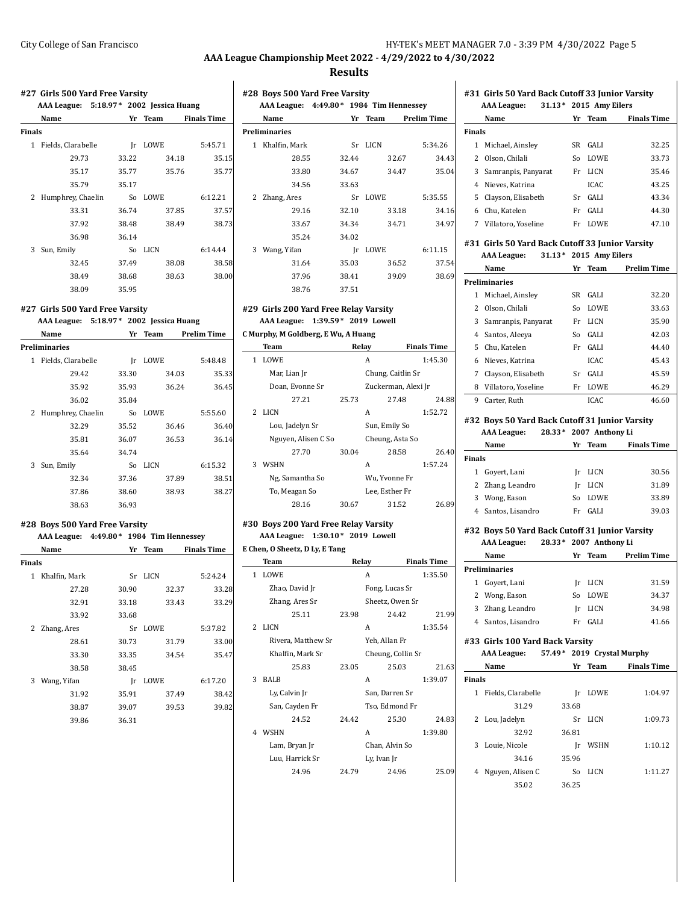#### **Results**

## **#27 Girls 500 Yard Free Varsity AAA League: 5:18.97\* 2002 Jessica Huang Name Yr Team Finals Time Finals** 1 Fields, Clarabelle Jr LOWE 5:45.71 29.73 33.22 34.18 35.15 35.17 35.77 35.76 35.77 35.79 35.17 2 Humphrey, Chaelin So LOWE 6:12.21 33.31 36.74 37.85 37.57 37.92 38.48 38.49 38.73 36.98 36.14 3 Sun, Emily So LICN 6:14.44 32.45 37.49 38.08 38.58 38.49 38.68 38.63 38.00 38.09 35.95 **#27 Girls 500 Yard Free Varsity AAA League: 5:18.97\* 2002 Jessica Huang Name Yr Team Prelim Time Preliminaries** 1 Fields, Clarabelle Jr LOWE 5:48.48 29.42 33.30 34.03 35.33 35.92 35.93 36.24 36.45 36.02 35.84 **Preliminaries**

|   |                   | ----- | ----  | .       |
|---|-------------------|-------|-------|---------|
|   | 36.02             | 35.84 |       |         |
| 2 | Humphrey, Chaelin | So    | LOWE  | 5:55.60 |
|   | 32.29             | 35.52 | 36.46 | 36.40   |
|   | 35.81             | 36.07 | 36.53 | 36.14   |
|   | 35.64             | 34.74 |       |         |
| 3 | Sun, Emily        | So    | LICN  | 6:15.32 |
|   | 32.34             | 37.36 | 37.89 | 38.51   |
|   | 37.86             | 38.60 | 38.93 | 38.27   |
|   | 38.63             | 36.93 |       |         |

#### **#28 Boys 500 Yard Free Varsity AAA League: 4:49.80\* 1984 Tim Hennessey**

|               | $AAA$ League: $4:49.00$ $1904$ Tim Hennessey |       |      |       |                    |
|---------------|----------------------------------------------|-------|------|-------|--------------------|
|               | Name                                         | Yr    | Team |       | <b>Finals Time</b> |
| <b>Finals</b> |                                              |       |      |       |                    |
| $\mathbf{1}$  | Khalfin, Mark                                | Sr    | LICN |       | 5:24.24            |
|               | 27.28                                        | 30.90 |      | 32.37 | 33.28              |
|               | 32.91                                        | 33.18 |      | 33.43 | 33.29              |
|               | 33.92                                        | 33.68 |      |       |                    |
| 2             | Zhang, Ares                                  | Sr    | LOWE |       | 5:37.82            |
|               | 28.61                                        | 30.73 |      | 31.79 | 33.00              |
|               | 33.30                                        | 33.35 |      | 34.54 | 35.47              |
|               | 38.58                                        | 38.45 |      |       |                    |
| 3             | Wang, Yifan                                  | Ir    | LOWE |       | 6:17.20            |
|               | 31.92                                        | 35.91 |      | 37.49 | 38.42              |
|               | 38.87                                        | 39.07 |      | 39.53 | 39.82              |
|               | 39.86                                        | 36.31 |      |       |                    |
|               |                                              |       |      |       |                    |

| #28 Boys 500 Yard Free Varsity |                                          |       |         |                    |  |  |  |
|--------------------------------|------------------------------------------|-------|---------|--------------------|--|--|--|
|                                | AAA League: 4:49.80 * 1984 Tim Hennessey |       |         |                    |  |  |  |
|                                | <b>Name</b>                              |       | Yr Team | <b>Prelim Time</b> |  |  |  |
|                                | <b>Preliminaries</b>                     |       |         |                    |  |  |  |
| 1                              | Khalfin, Mark                            | Sr    | LICN    | 5:34.26            |  |  |  |
|                                | 28.55                                    | 32.44 |         | 32.67<br>34.43     |  |  |  |
|                                | 33.80                                    | 34.67 |         | 35.04<br>34.47     |  |  |  |
|                                | 34.56                                    | 33.63 |         |                    |  |  |  |
| 2                              | Zhang, Ares                              | Sr    | LOWE.   | 5:35.55            |  |  |  |
|                                | 29.16                                    | 32.10 |         | 33.18<br>34.16     |  |  |  |
|                                | 33.67                                    | 34.34 |         | 34.97<br>34.71     |  |  |  |
|                                | 35.24                                    | 34.02 |         |                    |  |  |  |
| 3                              | Wang, Yifan                              | Ir    | LOWE    | 6:11.15            |  |  |  |
|                                | 31.64                                    | 35.03 |         | 36.52<br>37.54     |  |  |  |
|                                | 37.96                                    | 38.41 |         | 39.09<br>38.69     |  |  |  |
|                                | 38.76                                    | 37.51 |         |                    |  |  |  |

#### **#29 Girls 200 Yard Free Relay Varsity AAA League: 1:39.59\* 2019 Lowell**

**C Murphy, M Goldberg, E Wu, A Huang**

|   | Team                |       | Relay               | <b>Finals Time</b> |
|---|---------------------|-------|---------------------|--------------------|
| 1 | LOWE                |       | A                   | 1:45.30            |
|   | Mar, Lian Jr        |       | Chung, Caitlin Sr   |                    |
|   | Doan, Evonne Sr     |       | Zuckerman, Alexi Jr |                    |
|   | 27.21               | 25.73 | 27.48               | 24.88              |
| 2 | LICN                |       | A                   | 1:52.72            |
|   | Lou, Jadelyn Sr     |       | Sun, Emily So       |                    |
|   | Nguyen, Alisen C So |       | Cheung, Asta So     |                    |
|   | 27.70               | 30.04 | 28.58               | 26.40              |
| 3 | WSHN                |       | А                   | 1:57.24            |
|   | Ng, Samantha So     |       | Wu, Yvonne Fr       |                    |
|   | To, Meagan So       |       | Lee, Esther Fr      |                    |
|   | 28.16               | 30.67 | 31.52               | 26.89              |

#### **#30 Boys 200 Yard Free Relay Varsity AAA League: 1:30.10\* 2019 Lowell E Chen, O Sheetz, D Ly, E Tang**

|               | Team               |       | Relay             | <b>Finals Time</b> |
|---------------|--------------------|-------|-------------------|--------------------|
| $\mathbf{1}$  | LOWE               |       | A                 | 1:35.50            |
|               | Zhao, David Jr     |       | Fong, Lucas Sr    |                    |
|               | Zhang, Ares Sr     |       | Sheetz, Owen Sr   |                    |
|               | 25.11              | 23.98 | 24.42             | 21.99              |
| $\mathcal{L}$ | LICN               |       | A                 | 1:35.54            |
|               | Rivera, Matthew Sr |       | Yeh, Allan Fr     |                    |
|               | Khalfin, Mark Sr   |       | Cheung, Collin Sr |                    |
|               | 25.83              | 23.05 | 25.03             | 21.63              |
| 3             | <b>BALB</b>        |       | A                 | 1:39.07            |
|               | Ly, Calvin Jr      |       | San, Darren Sr    |                    |
|               | San, Cayden Fr     |       | Tso, Edmond Fr    |                    |
|               | 24.52              | 24.42 | 25.30             | 24.83              |
| 4             | WSHN               |       | A                 | 1:39.80            |
|               | Lam, Bryan Jr      |       | Chan, Alvin So    |                    |
|               | Luu, Harrick Sr    |       | Ly, Ivan Jr       |                    |
|               | 24.96              | 24.79 | 24.96             | 25.09              |

# **Name Yr Team Finals Time Finals** 1 Michael, Ainsley SR GALI 32.25 2 Olson, Chilali So LOWE 33.73 3 Samranpis, Panyarat Fr LICN 35.46 4 Nieves, Katrina ICAC 43.25 5 Clayson, Elisabeth Sr GALI 43.34 6 Chu, Katelen Fr GALI 44.30 7 Villatoro, Yoseline Fr LOWE 47.10 **#31 Girls 50 Yard Back Cutoff 33 Junior Varsity AAA League: 31.13\* 2015 Amy Eilers Name Yr Team Prelim Time Preliminaries** 1 Michael, Ainsley SR GALI 32.20 2 Olson, Chilali So LOWE 33.63 3 Samranpis, Panyarat Fr LICN 35.90 4 Santos, Aleeya So GALI 42.03 5 Chu, Katelen Fr GALI 44.40 6 Nieves, Katrina ICAC 45.43 7 Clayson, Elisabeth Sr GALI 45.59 8 Villatoro, Yoseline Fr LOWE 46.29 9 Carter, Ruth ICAC 46.60

**#31 Girls 50 Yard Back Cutoff 33 Junior Varsity AAA League: 31.13\* 2015 Amy Eilers**

#### **#32 Boys 50 Yard Back Cutoff 31 Junior Varsity AAA League: 28.33\* 2007 Anthony Li**

|               | Name             | Yг | <b>Team</b> | <b>Finals Time</b> |
|---------------|------------------|----|-------------|--------------------|
| <b>Finals</b> |                  |    |             |                    |
| 1             | Govert, Lani     | Ir | LICN        | 30.56              |
|               | 2 Zhang, Leandro | Ir | LICN        | 31.89              |
| 3             | Wong, Eason      | Sο | LOWE        | 33.89              |
|               | Santos, Lisandro | Fr | GALI        | 39.03              |

#### **#32 Boys 50 Yard Back Cutoff 31 Junior Varsity AAA League: 28.33\* 2007 Anthony Li**

|   | Name               | Yr | <b>Team</b> | <b>Prelim Time</b> |
|---|--------------------|----|-------------|--------------------|
|   | Preliminaries      |    |             |                    |
| 1 | Govert, Lani       | Ir | LICN        | 31.59              |
|   | 2 Wong, Eason      | So | <b>LOWE</b> | 34.37              |
|   | 3 Zhang, Leandro   | Ir | LICN        | 34.98              |
|   | 4 Santos, Lisandro | Fr | <b>GALI</b> | 41.66              |
|   |                    |    |             |                    |

# **#33 Girls 100 Yard Back Varsity**

|               | <b>AAA League:</b> | 57.49* 2019 Crystal Murphy |             |                    |  |
|---------------|--------------------|----------------------------|-------------|--------------------|--|
|               | Name               | Yr                         | Team        | <b>Finals Time</b> |  |
| <b>Finals</b> |                    |                            |             |                    |  |
| 1             | Fields, Clarabelle | Ir                         | LOWE        | 1:04.97            |  |
|               | 31.29              | 33.68                      |             |                    |  |
|               | 2 Lou, Jadelyn     | Sr                         | LICN        | 1:09.73            |  |
|               | 32.92              | 36.81                      |             |                    |  |
| 3             | Louie, Nicole      | Ir                         | <b>WSHN</b> | 1:10.12            |  |
|               | 34.16              | 35.96                      |             |                    |  |
|               |                    |                            |             |                    |  |

4 Nguyen, Alisen C So LICN 1:11.27

35.02 36.25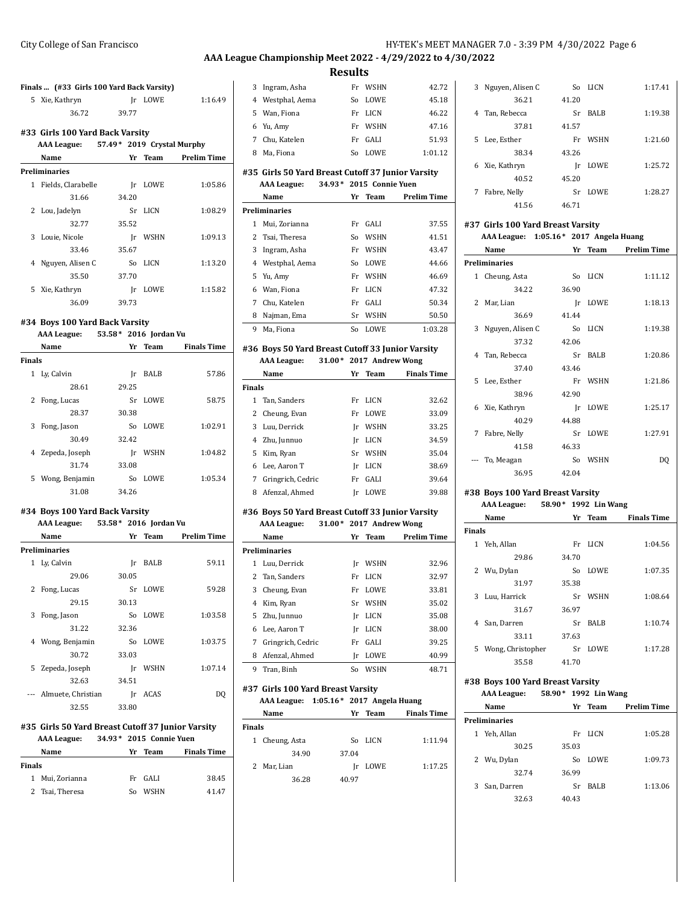3 Ingram, Asha Fr WSHN 42.72

**Results**

| Finals  (#33 Girls 100 Yard Back Varsity) |       |         |
|-------------------------------------------|-------|---------|
| 5 Xie, Kathryn                            |       | Ir LOWE |
| 36.72                                     | 39.77 |         |

 $1:16.49$ 

 $\sim$ 

L,

#### **#33 Girls 100 Yard Back Varsity**

|   | "33 'diriş 100' idi'u baçıx varşıcı    |       |  |             |                    |
|---|----------------------------------------|-------|--|-------------|--------------------|
|   | AAA League: 57.49* 2019 Crystal Murphy |       |  |             |                    |
|   | Name                                   | Yr    |  | Team        | <b>Prelim Time</b> |
|   | Preliminaries                          |       |  |             |                    |
| 1 | Fields, Clarabelle                     | Ir    |  | LOWE        | 1:05.86            |
|   | 31.66                                  | 34.20 |  |             |                    |
| 2 | Lou, Jadelyn                           | Sr    |  | LICN        | 1:08.29            |
|   | 32.77                                  | 35.52 |  |             |                    |
| 3 | Louie, Nicole                          | Ir    |  | <b>WSHN</b> | 1:09.13            |
|   | 33.46                                  | 35.67 |  |             |                    |
| 4 | Nguyen, Alisen C                       | So    |  | <b>LICN</b> | 1:13.20            |
|   | 35.50                                  | 37.70 |  |             |                    |
| 5 | Xie, Kathryn                           | Ir    |  | LOWE        | 1:15.82            |
|   | 36.09                                  | 39.73 |  |             |                    |
|   |                                        |       |  |             |                    |

#### **#34 Boys 100 Yard Back Varsity**

#### **AAA League: 53.58\* 2016 Jordan Vu**

|               | Name           | Yr    | <b>Team</b> | <b>Finals Time</b> |
|---------------|----------------|-------|-------------|--------------------|
| <b>Finals</b> |                |       |             |                    |
| $\mathbf{1}$  | Ly, Calvin     | Ir    | <b>BALB</b> | 57.86              |
|               | 28.61          | 29.25 |             |                    |
| 2             | Fong, Lucas    | Sr    | <b>LOWE</b> | 58.75              |
|               | 28.37          | 30.38 |             |                    |
| 3             | Fong, Jason    | So    | <b>LOWE</b> | 1:02.91            |
|               | 30.49          | 32.42 |             |                    |
| 4             | Zepeda, Joseph | Ir    | <b>WSHN</b> | 1:04.82            |
|               | 31.74          | 33.08 |             |                    |
| 5             | Wong, Benjamin | So    | LOWE        | 1:05.34            |
|               | 31.08          | 34.26 |             |                    |

## **#34 Boys 100 Yard Back Varsity**

| 53.58* 2016 Jordan Vu<br><b>AAA</b> League: |                      |       |             |                    |
|---------------------------------------------|----------------------|-------|-------------|--------------------|
|                                             | Name                 | Yr    | Team        | <b>Prelim Time</b> |
|                                             | <b>Preliminaries</b> |       |             |                    |
|                                             | 1 Ly, Calvin         | Ir    | <b>BALB</b> | 59.11              |
|                                             | 29.06                | 30.05 |             |                    |
| 2                                           | Fong, Lucas          |       | Sr LOWE     | 59.28              |
|                                             | 29.15                | 30.13 |             |                    |
| 3                                           | Fong, Jason          |       | So LOWE     | 1:03.58            |
|                                             | 31.22                | 32.36 |             |                    |
|                                             | 4 Wong, Benjamin     | So    | LOWE        | 1:03.75            |
|                                             | 30.72                | 33.03 |             |                    |
|                                             | 5 Zepeda, Joseph     | Ir    | <b>WSHN</b> | 1:07.14            |
|                                             | 32.63                | 34.51 |             |                    |
|                                             | Almuete, Christian   | Ir    | <b>ACAS</b> | DO                 |
|                                             | 32.55                | 33.80 |             |                    |

# **#35 Girls 50 Yard Breast Cutoff 37 Junior Varsity**

|        | AAA League:     |    | 34.93* 2015 Connie Yuen |                    |
|--------|-----------------|----|-------------------------|--------------------|
|        | Name            | Yг | Team                    | <b>Finals Time</b> |
| Finals |                 |    |                         |                    |
| 1      | Mui, Zorianna   |    | Fr GALI                 | 38.45              |
|        | 2 Tsai, Theresa | Sο | <b>WSHN</b>             | 4147               |

| 4              | Westphal, Aema                                                         | So | LOWE                    | 45.18                |
|----------------|------------------------------------------------------------------------|----|-------------------------|----------------------|
| 5              | Wan, Fiona                                                             | Fr | LICN                    | 46.22                |
| 6              | Yu, Amy                                                                | Fr | <b>WSHN</b>             | 47.16                |
| 7              | Chu. Katelen                                                           | Fr | GALI                    | 51.93                |
| 8              | Ma, Fiona                                                              | So | <b>LOWE</b>             | 1:01.12              |
|                | #35 Girls 50 Yard Breast Cutoff 37 Junior Varsity                      |    |                         |                      |
|                | <b>AAA League:</b>                                                     |    | 34.93* 2015 Connie Yuen |                      |
|                | Name                                                                   | Yr | Team                    | <b>Prelim Time</b>   |
|                | Preliminaries                                                          |    |                         |                      |
| 1              | Mui, Zorianna                                                          | Fr | <b>GALI</b>             | 37.55                |
| 2              | Tsai, Theresa                                                          | So | <b>WSHN</b>             | 41.51                |
| 3              | Ingram, Asha                                                           | Fr | <b>WSHN</b>             | 43.47                |
| $\overline{4}$ | Westphal, Aema                                                         | So | <b>LOWE</b>             | 44.66                |
| 5              | Yu, Amy                                                                | Fr | <b>WSHN</b>             | 46.69                |
| 6              | Wan, Fiona                                                             | Fr | LICN                    | 47.32                |
| 7              | Chu, Katelen                                                           | Fr | GALI                    | 50.34                |
| 8              | Najman, Ema                                                            | Sr | <b>WSHN</b>             | 50.50                |
| 9              | Ma, Fiona                                                              | So | <b>LOWE</b>             | 1:03.28              |
|                | #36 Boys 50 Yard Breast Cutoff 33 Junior Varsity<br><b>AAA League:</b> |    | 31.00* 2017 Andrew Wong |                      |
|                | Mama <sub>n</sub>                                                      |    |                         | Vy Toom - Einele Tiv |

|               | Name              | Yr | <b>Team</b> | <b>Finals Time</b> |
|---------------|-------------------|----|-------------|--------------------|
| <b>Finals</b> |                   |    |             |                    |
| 1             | Tan. Sanders      | Fr | LICN        | 32.62              |
| 2             | Cheung, Evan      | Fr | <b>LOWE</b> | 33.09              |
| 3             | Luu, Derrick      | Ir | WSHN        | 33.25              |
|               | 4 Zhu, Junnuo     | Ir | LICN        | 34.59              |
| 5             | Kim, Ryan         | Sr | <b>WSHN</b> | 35.04              |
| 6             | Lee. Aaron T      | Ir | LICN        | 38.69              |
| 7             | Gringrich, Cedric | Fr | GALI        | 39.64              |
| 8             | Afenzal, Ahmed    | Ir | LOWE        | 39.88              |

#### **#36 Boys 50 Yard Breast Cutoff 33 Junior Varsity AAA League: 31.00\* 2017 Andrew Wong**

|   | Name              | Yr | Team        | <b>Prelim Time</b> |
|---|-------------------|----|-------------|--------------------|
|   | Preliminaries     |    |             |                    |
| 1 | Luu. Derrick      | Ir | WSHN        | 32.96              |
|   | 2 Tan, Sanders    | Fr | LICN        | 32.97              |
| 3 | Cheung, Evan      | Fr | <b>LOWE</b> | 33.81              |
| 4 | Kim, Ryan         | Sr | <b>WSHN</b> | 35.02              |
|   | 5 Zhu, Junnuo     | Ir | LICN        | 35.08              |
| 6 | Lee, Aaron T      | Ir | LICN        | 38.00              |
| 7 | Gringrich, Cedric | Fr | <b>GALI</b> | 39.25              |
| 8 | Afenzal, Ahmed    | Ir | <b>LOWE</b> | 40.99              |
| 9 | Tran. Binh        | So | <b>WSHN</b> | 48.71              |

#### **#37 Girls 100 Yard Breast Varsity AAA League: 1:05.16\* 2017 Angela Huang**

|               | Name           | Yг    | Team | <b>Finals Time</b> |
|---------------|----------------|-------|------|--------------------|
| <b>Finals</b> |                |       |      |                    |
|               | 1 Cheung, Asta | So    | LICN | 1:11.94            |
|               | 34.90          | 37.04 |      |                    |
| 2             | Mar, Lian      | Ir    | LOWE | 1:17.25            |
|               | 36.28          | 40.97 |      |                    |

| 3 | Nguyen, Alisen C | So    | LICN        | 1:17.41 |
|---|------------------|-------|-------------|---------|
|   | 36.21            | 41.20 |             |         |
| 4 | Tan. Rebecca     | Sr    | <b>BALB</b> | 1:19.38 |
|   | 37.81            | 41.57 |             |         |
|   | 5 Lee, Esther    | Fr    | <b>WSHN</b> | 1:21.60 |
|   | 38.34            | 43.26 |             |         |
| 6 | Xie, Kathryn     | Ir    | LOWE        | 1:25.72 |
|   | 40.52            | 45.20 |             |         |
| 7 | Fabre, Nelly     | Sr    | <b>LOWE</b> | 1:28.27 |
|   | 41.56            | 46.71 |             |         |

#### **#37 Girls 100 Yard Breast Varsity AAA League: 1:05.16\* 2017 Angela Huang**

| $AAA$ League: $1.03.10 - 2017$ Aligera Hualig |  |  |  |
|-----------------------------------------------|--|--|--|
|                                               |  |  |  |

|    | Name                 | Yr    | <b>Team</b> | <b>Prelim Time</b> |
|----|----------------------|-------|-------------|--------------------|
|    | <b>Preliminaries</b> |       |             |                    |
| 1  | Cheung, Asta         | So    | <b>LICN</b> | 1:11.12            |
|    | 34.22                | 36.90 |             |                    |
| 2  | Mar, Lian            | Ir    | LOWE        | 1:18.13            |
|    | 36.69                | 41.44 |             |                    |
| 3  | Nguyen, Alisen C     | So    | LICN        | 1:19.38            |
|    | 37.32                | 42.06 |             |                    |
|    | 4 Tan, Rebecca       | Sr    | <b>BALB</b> | 1:20.86            |
|    | 37.40                | 43.46 |             |                    |
| 5. | Lee, Esther          | Fr    | WSHN        | 1:21.86            |
|    | 38.96                | 42.90 |             |                    |
| 6. | Xie, Kathryn         | Ir    | LOWE        | 1:25.17            |
|    | 40.29                | 44.88 |             |                    |
| 7  | Fabre, Nelly         | Sr    | LOWE        | 1:27.91            |
|    | 41.58                | 46.33 |             |                    |
|    | To, Meagan           | So    | <b>WSHN</b> | DO                 |
|    | 36.95                | 42.04 |             |                    |

#### **#38 Boys 100 Yard Breast Varsity**

# **AAA League: 58.90\* 1992 Lin Wang**

|              | Name              | Yr    | Team        | <b>Finals Time</b> |
|--------------|-------------------|-------|-------------|--------------------|
| Finals       |                   |       |             |                    |
| $\mathbf{1}$ | Yeh, Allan        | Fr    | <b>LICN</b> | 1:04.56            |
|              | 29.86             | 34.70 |             |                    |
|              | 2 Wu, Dylan       | So    | <b>LOWE</b> | 1:07.35            |
|              | 31.97             | 35.38 |             |                    |
| 3            | Luu, Harrick      | Sr    | <b>WSHN</b> | 1:08.64            |
|              | 31.67             | 36.97 |             |                    |
| 4            | San, Darren       | Sr    | <b>BALB</b> | 1:10.74            |
|              | 33.11             | 37.63 |             |                    |
| 5            | Wong, Christopher | Sr    | <b>LOWE</b> | 1:17.28            |
|              | 35.58             | 41.70 |             |                    |
|              |                   |       |             |                    |

#### **#38 Boys 100 Yard Breast Varsity AAA League: 58.90\* 1992 Lin Wang**

| mus neague. |                      | JU.JU<br>$1774$ and wave |             |                    |
|-------------|----------------------|--------------------------|-------------|--------------------|
|             | Name                 | Yr                       | Team        | <b>Prelim Time</b> |
|             | <b>Preliminaries</b> |                          |             |                    |
|             | 1 Yeh, Allan         | Fr                       | LICN        | 1:05.28            |
|             | 30.25                | 35.03                    |             |                    |
|             | 2 Wu, Dylan          | So                       | <b>LOWE</b> | 1:09.73            |
|             | 32.74                | 36.99                    |             |                    |
| 3           | San, Darren          | Sr                       | <b>BALB</b> | 1:13.06            |
|             | 32.63                | 40.43                    |             |                    |